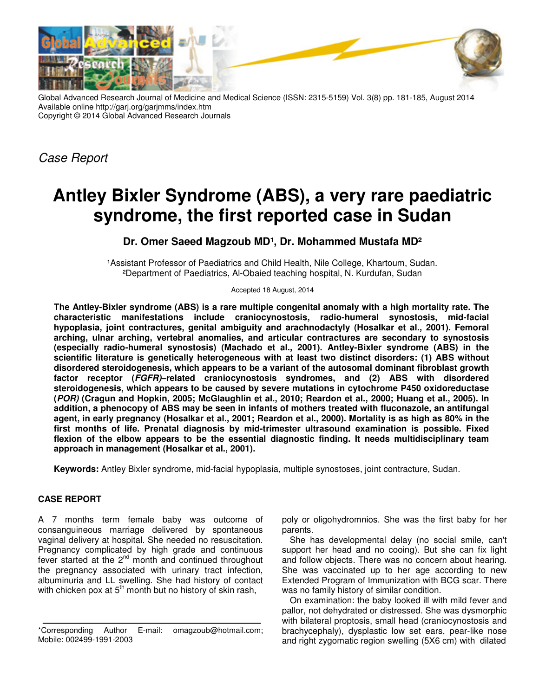

Global Advanced Research Journal of Medicine and Medical Science (ISSN: 2315-5159) Vol. 3(8) pp. 181-185, August 2014 Available online http://garj.org/garjmms/index.htm Copyright © 2014 Global Advanced Research Journals

*Case Report*

# **Antley Bixler Syndrome (ABS), a very rare paediatric syndrome, the first reported case in Sudan**

## Dr. Omer Saeed Magzoub MD<sup>1</sup>, Dr. Mohammed Mustafa MD<sup>2</sup>

1 Assistant Professor of Paediatrics and Child Health, Nile College, Khartoum, Sudan. ²Department of Paediatrics, Al-Obaied teaching hospital, N. Kurdufan, Sudan

Accepted 18 August, 2014

**The Antley-Bixler syndrome (ABS) is a rare multiple congenital anomaly with a high mortality rate. The characteristic manifestations include craniocynostosis, radio-humeral synostosis, mid-facial hypoplasia, joint contractures, genital ambiguity and arachnodactyly (Hosalkar et al., 2001). Femoral arching, ulnar arching, vertebral anomalies, and articular contractures are secondary to synostosis (especially radio-humeral synostosis) (Machado et al., 2001). Antley-Bixler syndrome (ABS) in the scientific literature is genetically heterogeneous with at least two distinct disorders: (1) ABS without disordered steroidogenesis, which appears to be a variant of the autosomal dominant fibroblast growth factor receptor (FGFR)–related craniocynostosis syndromes, and (2) ABS with disordered steroidogenesis, which appears to be caused by severe mutations in cytochrome P450 oxidoreductase (POR) (Cragun and Hopkin, 2005; McGlaughlin et al., 2010; Reardon et al., 2000; Huang et al., 2005). In addition, a phenocopy of ABS may be seen in infants of mothers treated with fluconazole, an antifungal agent, in early pregnancy (Hosalkar et al., 2001; Reardon et al., 2000). Mortality is as high as 80% in the first months of life. Prenatal diagnosis by mid-trimester ultrasound examination is possible. Fixed flexion of the elbow appears to be the essential diagnostic finding. It needs multidisciplinary team approach in management (Hosalkar et al., 2001).** 

**Keywords:** Antley Bixler syndrome, mid-facial hypoplasia, multiple synostoses, joint contracture, Sudan.

## **CASE REPORT**

A 7 months term female baby was outcome of consanguineous marriage delivered by spontaneous vaginal delivery at hospital. She needed no resuscitation. Pregnancy complicated by high grade and continuous fever started at the 2<sup>nd</sup> month and continued throughout the pregnancy associated with urinary tract infection, albuminuria and LL swelling. She had history of contact with chicken pox at  $5<sup>th</sup>$  month but no history of skin rash,

poly or oligohydromnios. She was the first baby for her parents.

She has developmental delay (no social smile, can't support her head and no cooing). But she can fix light and follow objects. There was no concern about hearing. She was vaccinated up to her age according to new Extended Program of Immunization with BCG scar. There was no family history of similar condition.

On examination: the baby looked ill with mild fever and pallor, not dehydrated or distressed. She was dysmorphic with bilateral proptosis, small head (craniocynostosis and brachycephaly), dysplastic low set ears, pear-like nose and right zygomatic region swelling (5Χ6 cm) with dilated

<sup>\*</sup>Corresponding Author E-mail: omagzoub@hotmail.com; Mobile: 002499-1991-2003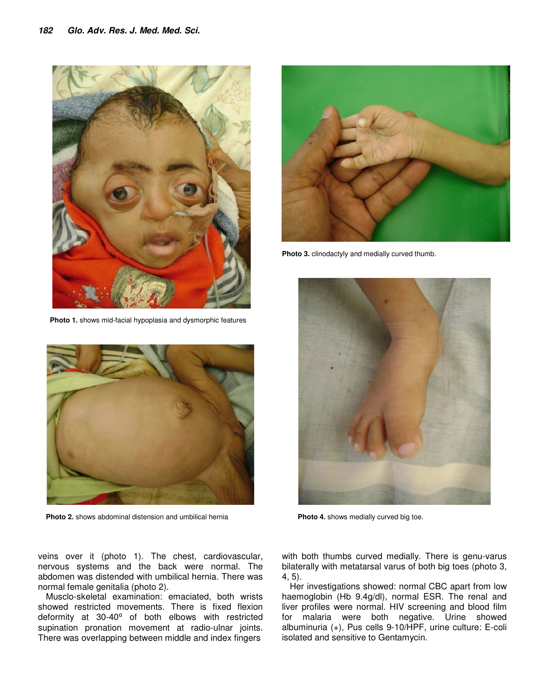

**Photo 1.** shows mid-facial hypoplasia and dysmorphic features



**Photo 2.** shows abdominal distension and umbilical hernia

**Photo 3.** clinodactyly and medially curved thumb.



**Photo 4.** shows medially curved big toe.

veins over it (photo 1). The chest, cardiovascular, nervous systems and the back were normal. The abdomen was distended with umbilical hernia. There was normal female genitalia (photo 2).

Musclo-skeletal examination: emaciated, both wrists showed restricted movements. There is fixed flexion deformity at 30-40° of both elbows with restricted supination pronation movement at radio-ulnar joints. There was overlapping between middle and index fingers

with both thumbs curved medially. There is genu-varus bilaterally with metatarsal varus of both big toes (photo 3, 4, 5).

Her investigations showed: normal CBC apart from low haemoglobin (Hb 9.4g/dl), normal ESR. The renal and liver profiles were normal. HIV screening and blood film for malaria were both negative. Urine showed albuminuria (+), Pus cells 9-10/HPF, urine culture: E-coli isolated and sensitive to Gentamycin.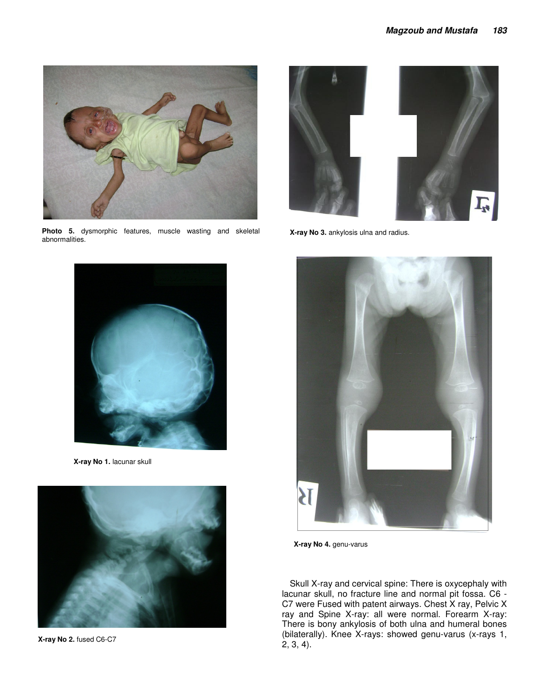

**Photo 5.** dysmorphic features, muscle wasting and skeletal abnormalities.



**X-ray No 3.** ankylosis ulna and radius.



**X-ray No 1.** lacunar skull



**X-ray No 2.** fused C6-C7



**X-ray No 4.** genu-varus

Skull X-ray and cervical spine: There is oxycephaly with lacunar skull, no fracture line and normal pit fossa. C6 - C7 were Fused with patent airways. Chest X ray, Pelvic X ray and Spine X-ray: all were normal. Forearm X-ray: There is bony ankylosis of both ulna and humeral bones (bilaterally). Knee X-rays: showed genu-varus (x-rays 1, 2, 3, 4).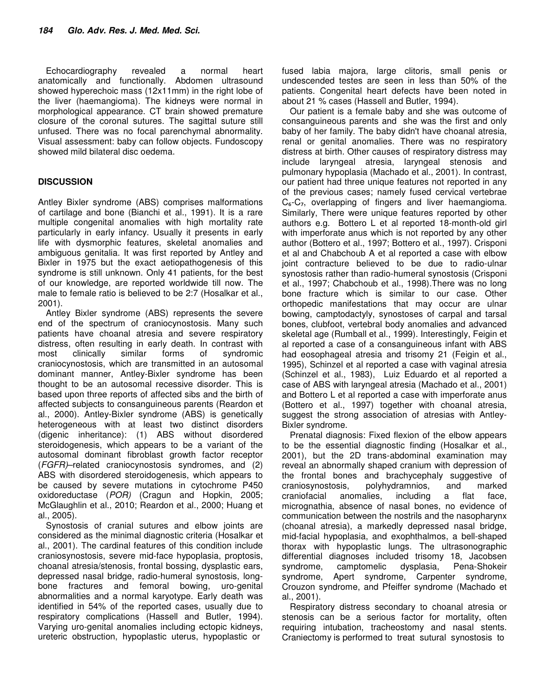Echocardiography revealed a normal heart anatomically and functionally. Abdomen ultrasound showed hyperechoic mass (12x11mm) in the right lobe of the liver (haemangioma). The kidneys were normal in morphological appearance. CT brain showed premature closure of the coronal sutures. The sagittal suture still unfused. There was no focal parenchymal abnormality. Visual assessment: baby can follow objects. Fundoscopy showed mild bilateral disc oedema.

## **DISCUSSION**

Antley Bixler syndrome (ABS) comprises malformations of cartilage and bone (Bianchi et al., 1991). It is a rare multiple congenital anomalies with high mortality rate particularly in early infancy. Usually it presents in early life with dysmorphic features, skeletal anomalies and ambiguous genitalia. It was first reported by Antley and Bixler in 1975 but the exact aetiopathogenesis of this syndrome is still unknown. Only 41 patients, for the best of our knowledge, are reported worldwide till now. The male to female ratio is believed to be 2:7 (Hosalkar et al., 2001).

Antley Bixler syndrome (ABS) represents the severe end of the spectrum of craniocynostosis. Many such patients have choanal atresia and severe respiratory distress, often resulting in early death. In contrast with most clinically similar forms of syndromic craniocynostosis, which are transmitted in an autosomal dominant manner, Antley-Bixler syndrome has been thought to be an autosomal recessive disorder. This is based upon three reports of affected sibs and the birth of affected subjects to consanguineous parents (Reardon et al., 2000). Antley-Bixler syndrome (ABS) is genetically heterogeneous with at least two distinct disorders (digenic inheritance): (1) ABS without disordered steroidogenesis, which appears to be a variant of the autosomal dominant fibroblast growth factor receptor (*FGFR)*–related craniocynostosis syndromes, and (2) ABS with disordered steroidogenesis, which appears to be caused by severe mutations in cytochrome P450 oxidoreductase (*POR)* (Cragun and Hopkin, 2005; McGlaughlin et al., 2010; Reardon et al., 2000; Huang et al., 2005).

Synostosis of cranial sutures and elbow joints are considered as the minimal diagnostic criteria (Hosalkar et al., 2001). The cardinal features of this condition include craniosynostosis, severe mid-face hypoplasia, proptosis, choanal atresia/stenosis, frontal bossing, dysplastic ears, depressed nasal bridge, radio-humeral synostosis, longbone fractures and femoral bowing, uro-genital abnormalities and a normal karyotype. Early death was identified in 54% of the reported cases, usually due to respiratory complications (Hassell and Butler, 1994). Varying uro-genital anomalies including ectopic kidneys, ureteric obstruction, hypoplastic uterus, hypoplastic or

fused labia majora, large clitoris, small penis or undescended testes are seen in less than 50% of the patients. Congenital heart defects have been noted in about 21 % cases (Hassell and Butler, 1994).

Our patient is a female baby and she was outcome of consanguineous parents and she was the first and only baby of her family. The baby didn't have choanal atresia, renal or genital anomalies. There was no respiratory distress at birth. Other causes of respiratory distress may include laryngeal atresia, laryngeal stenosis and pulmonary hypoplasia (Machado et al., 2001). In contrast, our patient had three unique features not reported in any of the previous cases; namely fused cervical vertebrae C<sub>6</sub>-C<sub>7</sub>, overlapping of fingers and liver haemangioma. Similarly, There were unique features reported by other authors e.g. Bottero L et al reported 18-month-old girl with imperforate anus which is not reported by any other author (Bottero et al., 1997; Bottero et al., 1997). Crisponi et al and Chabchoub A et al reported a case with elbow joint contracture believed to be due to radio-ulnar synostosis rather than radio-humeral synostosis (Crisponi et al., 1997; Chabchoub et al., 1998).There was no long bone fracture which is similar to our case. Other orthopedic manifestations that may occur are ulnar bowing, camptodactyly, synostoses of carpal and tarsal bones, clubfoot, vertebral body anomalies and advanced skeletal age (Rumball et al., 1999). Interestingly, Feigin et al reported a case of a consanguineous infant with ABS had eosophageal atresia and trisomy 21 (Feigin et al., 1995), Schinzel et al reported a case with vaginal atresia (Schinzel et al., 1983), Luiz Eduardo et al reported a case of ABS with laryngeal atresia (Machado et al., 2001) and Bottero L et al reported a case with imperforate anus (Bottero et al., 1997) together with choanal atresia, suggest the strong association of atresias with Antley-Bixler syndrome.

Prenatal diagnosis: Fixed flexion of the elbow appears to be the essential diagnostic finding (Hosalkar et al., 2001), but the 2D trans-abdominal examination may reveal an abnormally shaped cranium with depression of the frontal bones and brachycephaly suggestive of craniosynostosis, polyhydramnios, and marked craniofacial anomalies, including a flat face, micrognathia, absence of nasal bones, no evidence of communication between the nostrils and the nasopharynx (choanal atresia), a markedly depressed nasal bridge, mid-facial hypoplasia, and exophthalmos, a bell-shaped thorax with hypoplastic lungs. The ultrasonographic differential diagnoses included trisomy 18, Jacobsen syndrome, camptomelic dysplasia, Pena-Shokeir syndrome, Apert syndrome, Carpenter syndrome, Crouzon syndrome, and Pfeiffer syndrome (Machado et al., 2001).

Respiratory distress secondary to choanal atresia or stenosis can be a serious factor for mortality, often requiring intubation, tracheostomy and nasal stents. Craniectomy is performed to treat sutural synostosis to